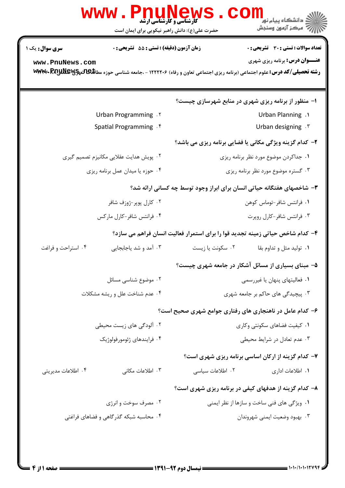| <b>WWW .</b><br><b>PNUNEW</b><br>حضرت علی(ع): دانش راهبر نیکویی برای ایمان است          | ڪ دانشڪاه پيا <sub>م</sub> نور<br><mark>ر</mark> 7 مرڪز آزمون وسنڊش<br><b>کارشناسی و کارشناسی ارشد</b>                                                                                                                                |
|-----------------------------------------------------------------------------------------|---------------------------------------------------------------------------------------------------------------------------------------------------------------------------------------------------------------------------------------|
| زمان آزمون (دقیقه) : تستی : 55 آتشریحی : 0<br><b>سری سوال :</b> یک ۱<br>www.PnuNews.com | <b>تعداد سوالات : تستی : 30 ٪ تشریحی : 0</b><br><b>عنـــوان درس:</b> برنامه ریزی شهری<br><b>رشته تحصیلی/کد درس: ع</b> لوم اجتماعی (برنامه ریزی اجتماعی تعاون و رفاه) ۱۲۲۲۲۰۶ - ،جامعه شناسی حوزه مطا <b>للهالهیجیالاللهال WWW- RA</b> |
|                                                                                         |                                                                                                                                                                                                                                       |
|                                                                                         | ۱– منظور از برنامه ریزی شهری در منابع شهرسازی چیست؟                                                                                                                                                                                   |
| Urban Programming . Y                                                                   | Urban Planning .1                                                                                                                                                                                                                     |
| Spatial Programming . f                                                                 | Urban designing . \v                                                                                                                                                                                                                  |
|                                                                                         | ۲- کدام گزینه ویژگی مکانی یا فضایی برنامه ریزی می باشد؟                                                                                                                                                                               |
| ۲. پویش هدایت عقلایی مکانیزم تصمیم گیری                                                 | ۰۱ جداکردن موضوع مورد نظر برنامه ریزی                                                                                                                                                                                                 |
| ۰۴ حوزه یا میدان عمل برنامه ریزی                                                        | ۰۳ گستره موضوع مورد نظر برنامه ریزی                                                                                                                                                                                                   |
|                                                                                         | ۳- شاخصهای هفتگانه حیاتی انسان برای ابراز وجود توسط چه کسانی ارائه شد؟                                                                                                                                                                |
| ۰۲ کارل پوپر-ژوزف شافر                                                                  | ۰۱ فرانتس شافر-توماس کوهن                                                                                                                                                                                                             |
| ۰۴ فرانتس شافر-کارل مارکس                                                               | ۰۳ فرانتس شافر-کارل روپرت                                                                                                                                                                                                             |
|                                                                                         | ۴– کدام شاخص حیاتی زمینه تجدید قوا را برای استمرار فعالیت انسان فراهم می سازد؟                                                                                                                                                        |
| ۰۴ استراحت و فراغت<br>۰۳ آمد و شد یاجابجایی                                             | ۰۲ سكونت يا زيست<br>۰۱ تولید مثل و تداوم بقا                                                                                                                                                                                          |
|                                                                                         | ۵– مبنای بسیاری از مسائل آشکار در جامعه شهری چیست؟                                                                                                                                                                                    |
| ۰۲ موضوع شناسی مسائل                                                                    | ٠١ فعاليتهاى پنهان يا غيررسمي                                                                                                                                                                                                         |
| ۰۴ عدم شناخت علل و ریشه مشکلات                                                          | ۰۳ پیچیدگی های حاکم بر جامعه شهری                                                                                                                                                                                                     |
|                                                                                         | ۶– کدام عامل در ناهنجاری های رفتاری جوامع شهری صحیح است؟                                                                                                                                                                              |
| ۰۲ آلودگی های زیست محیطی                                                                | ٠١ كيفيت فضاهاى سكونتي وكارى                                                                                                                                                                                                          |
| ۰۴ فرايندهاى ژئومورفولوژيک                                                              | ۰۳ عدم تعادل در شرایط محیطی                                                                                                                                                                                                           |
|                                                                                         | ۷- کدام گزینه از ارکان اساسی برنامه ریزی شهری است؟                                                                                                                                                                                    |
| ۰۴ اطلاعات مدیریتی<br>۰۳ اطلاعات مکانی                                                  | ۰۲ اطلاعات سیاسی<br>٠١. اطلاعات اداري                                                                                                                                                                                                 |
|                                                                                         | ۸– کدام گزینه از هدفهای کیفی در برنامه ریزی شهری است؟                                                                                                                                                                                 |
| ۰۲ مصرف سوخت و انرژی                                                                    | ۰۱ ویژگی های فنی ساخت و سازها از نظر ایمنی                                                                                                                                                                                            |
| ۰۴ محاسبه شبکه گذر گاهی و فضاهای فراغتی                                                 | ۰۳ بهبود وضعيت ايمني شهروندان                                                                                                                                                                                                         |
|                                                                                         |                                                                                                                                                                                                                                       |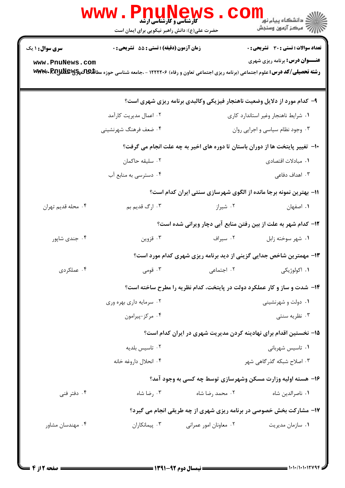| <b>سری سوال : ۱ یک</b> | زمان آزمون (دقیقه) : تستی : 55 آتشریحی : 0                                                                                           |                        | <b>تعداد سوالات : تستی : 30 ٪ تشریحی : 0</b>                                  |  |
|------------------------|--------------------------------------------------------------------------------------------------------------------------------------|------------------------|-------------------------------------------------------------------------------|--|
| www.PnuNews.com        | <b>رشته تحصیلی/کد درس:</b> علوم اجتماعی (برنامه ریزی اجتماعی تعاون و رفاه) ۱۲۲۲۲۰۶ - ،جامعه شناسی حوزه مطا <b>للهالهیچیWWW- RA ب</b> |                        | <b>عنـــوان درس:</b> برنامه ریزی شهری                                         |  |
|                        |                                                                                                                                      |                        | ۹- کدام مورد از دلایل وضعیت ناهنجار فیزیکی وکالبدی برنامه ریزی شهری است؟      |  |
|                        | ۰۲ اعمال مدیریت کارآمد                                                                                                               |                        | ۰۱ شرایط ناهنجار وغیر استاندارد کاری                                          |  |
|                        | ۰۴ ضعف فرهنگ شهرنشيني                                                                                                                |                        | ۰۳ وجود نظام سیاسی و اجرایی روان                                              |  |
|                        |                                                                                                                                      |                        | ∙ا− تغییر پایتخت ها از دوران باستان تا دوره های اخیر به چه علت انجام می گرفت؟ |  |
|                        | ۰۲ سليقه حاكمان                                                                                                                      |                        | ٠١. مبادلات اقتصادى                                                           |  |
|                        | ۰۴ دسترسی به منابع آب                                                                                                                |                        | ۰۳ اهداف دفاعی                                                                |  |
|                        |                                                                                                                                      |                        | 11- بهترین نمونه برجا مانده از الگوی شهرسازی سنتی ایران کدام است؟             |  |
| ۰۴ محله قديم تهران     | ۰۳ ارگ قديم بم                                                                                                                       | ۰۲ شیراز               | ۰۱ اصفهان                                                                     |  |
|                        |                                                                                                                                      |                        | <b>۱۲</b> - کدام شهر به علت از بین رفتن منابع آبی دچار ویرانی شده است؟        |  |
| ۰۴ جندي شاپور          | ۰۳ قزوين                                                                                                                             | ۰۲ سیراف               | ۰۱ شهر سوخته زابل                                                             |  |
|                        |                                                                                                                                      |                        | ۱۳- مهمترین شاخص جدایی گزینی از دید برنامه ریزی شهری کدام مورد است؟           |  |
| ۰۴ عملکردی             |                                                                                                                                      |                        |                                                                               |  |
|                        | ۱۴- شدت و ساز و کار عملکرد دولت در پایتخت، کدام نظریه را مطرح ساخته است؟                                                             |                        |                                                                               |  |
|                        | ۰۲ سرمایه داری بهره وری                                                                                                              |                        | ۰۱ دولت و شهرنشینی                                                            |  |
|                        | ۰۴ مرکز-پیرامون                                                                                                                      |                        | ۰۳ نظریه سنتی                                                                 |  |
|                        |                                                                                                                                      |                        | ۱۵– نخستین اقدام برای نهادینه کردن مدیریت شهری در ایران کدام است؟             |  |
|                        | ۰۲ تاسیس بلدیه                                                                                                                       |                        | ۰۱ تاسیس شهربانی                                                              |  |
|                        | ۰۴ انحلال داروغه خانه                                                                                                                |                        | ۰۳ اصلاح شبکه گذر گاهی شهر                                                    |  |
|                        |                                                                                                                                      |                        | ۱۶- هسته اولیه وزارت مسکن وشهرسازی توسط چه کسی به وجود آمد؟                   |  |
| ۰۴ دفتر فنی            | ۰۳ رضا شاه                                                                                                                           | ۰۲ محمد رضا شاه        | ٠١. ناصرالدين شاه                                                             |  |
|                        |                                                                                                                                      |                        | ۱۷- مشارکت بخش خصوصی در برنامه ریزی شهری از چه طریقی انجام می گیرد؟           |  |
| ۰۴ مهندسان مشاور       | ۰۳ پیمانکاران                                                                                                                        | ۰۲ معاونان امور عمرانی | ۰۱ سازمان مدیریت                                                              |  |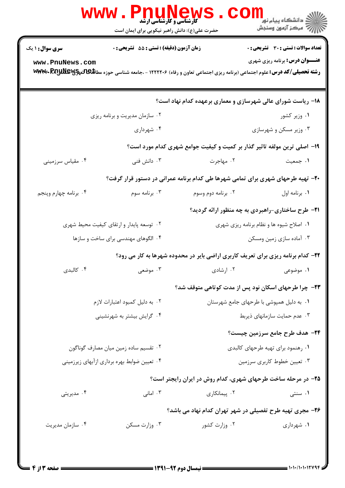|                        | <b>www.Pnunew:</b>                          | <b>کارشناسی و کارشناسی ارشد</b><br>حضرت علی(ع): دانش راهبر نیکویی برای ایمان است | الان دانشگاه پيام نور <mark>- -</mark><br>  //> مرکز آزمون وسنجش                                                                                                              |
|------------------------|---------------------------------------------|----------------------------------------------------------------------------------|-------------------------------------------------------------------------------------------------------------------------------------------------------------------------------|
| <b>سری سوال : ۱ یک</b> | زمان آزمون (دقیقه) : تستی : 55 آتشریحی : 0  |                                                                                  | <b>تعداد سوالات : تستی : 30 ٪ تشریحی : 0</b>                                                                                                                                  |
| www.PnuNews.com        |                                             |                                                                                  | <b>عنـــوان درس:</b> برنامه ریزی شهری<br><b>رشته تحصیلی/کد درس:</b> علوم اجتماعی (برنامه ریزی اجتماعی تعاون و رفاه) ۱۲۲۲۲۰۶ - ،جامعه شناسی حوزه مطا <b>للهالتهاجی WWW- RA</b> |
|                        |                                             |                                                                                  | ۱۸- ریاست شورای عالی شهرسازی و معماری برعهده کدام نهاد است؟                                                                                                                   |
|                        | ۰۲ سازمان مدیریت و برنامه ریزی              |                                                                                  | ۰۱ وزیر کشور                                                                                                                                                                  |
|                        | ۰۴ شهرداری                                  |                                                                                  | ۰۳ وزیر مسکن و شهرسازی                                                                                                                                                        |
|                        |                                             |                                                                                  | ۱۹- اصلی ترین مولفه تاثیر گذار بر کمیت و کیفیت جوامع شهری کدام مورد است؟                                                                                                      |
| ۰۴ مقیاس سرزمینی       | ۰۳ دانش فنی                                 | ۰۲ مهاجرت                                                                        | ١. جمعيت                                                                                                                                                                      |
|                        |                                             |                                                                                  | ۲۰- تهیه طرحهای شهری برای تمامی شهرها طی کدام برنامه عمرانی در دستور قرار گرفت؟                                                                                               |
| ۰۴ برنامه چهارم وپنجم  | ۰۳ برنامه سوم                               | ۰۲ برنامه دوم وسوم                                                               | ٠١. برنامه اول                                                                                                                                                                |
|                        |                                             |                                                                                  | <b>۳۱</b> - طرح ساختاری-راهبردی به چه منظور ارائه گردید؟                                                                                                                      |
|                        | ۰۲ توسعه پایدار و ارتقای کیفیت محیط شهری    |                                                                                  | ۰۱ اصلاح شیوه ها و نظام برنامه ریزی شهری                                                                                                                                      |
|                        | ۰۴ الگوهای مهندسی برای ساخت و سازها         |                                                                                  | ۰۳ آماده سازی زمین ومسکن                                                                                                                                                      |
|                        |                                             |                                                                                  | ۲۲- کدام برنامه ریزی برای تعریف کاربری اراضی بایر در محدوده شهرها به کار می رود؟                                                                                              |
| ۰۴ کالېدی              | ۰۳ موضعی                                    | ۰۲ ارشادی                                                                        | ۰۱ موضوعی                                                                                                                                                                     |
|                        |                                             |                                                                                  | ۲۳– چرا طرحهای اسکان نود پس از مدت کوتاهی متوقف شد؟                                                                                                                           |
|                        | ۰۲ به دلیل کمبود اعتبارات لازم              |                                                                                  | ۰۱ به دلیل همپوشی با طرحهای جامع شهرستان                                                                                                                                      |
|                        | ۰۴ گرایش بیشتر به شهرنشینی                  |                                                                                  | ۰۳ عدم حمایت سازمانهای ذیربط                                                                                                                                                  |
|                        |                                             |                                                                                  | ۲۴- هدف طرح جامع سرزمین چیست؟                                                                                                                                                 |
|                        | ۰۲ تقسیم ساده زمین میان مصارف گوناگون       |                                                                                  | ۰۱ رهنمود برای تهیه طرحهای کالبدی                                                                                                                                             |
|                        | ۰۴ تعیین ضوابط بهره برداری ازآبهای زیرزمینی |                                                                                  | ۰۳ تعیین خطوط کاربری سرزمین                                                                                                                                                   |
|                        |                                             |                                                                                  | ۲۵- در مرحله ساخت طرحهای شهری، کدام روش در ایران رایجتر است؟                                                                                                                  |
| ۰۴ مدیریتی             | ۰۳ امانی                                    | ۰۲ پیمانکاری                                                                     | ۰۱ سنتی                                                                                                                                                                       |
|                        |                                             |                                                                                  | ۲۶– مجری تهیه طرح تفصیلی در شهر تهران کدام نهاد می باشد؟                                                                                                                      |
| ۰۴ سازمان مدیریت       | ۰۳ وزارت مسکن                               | ۰۲ وزارت کشور                                                                    | ۰۱ شهرداری                                                                                                                                                                    |
|                        |                                             |                                                                                  |                                                                                                                                                                               |
|                        |                                             | $=$ 1421 av  if $=$                                                              | = 1010/10102445 =                                                                                                                                                             |